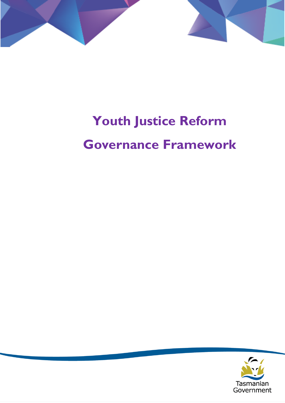

# **Youth Justice Reform**

# **Governance Framework**

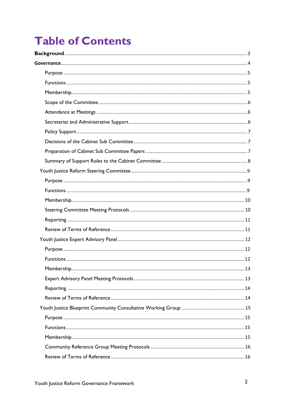# **Table of Contents**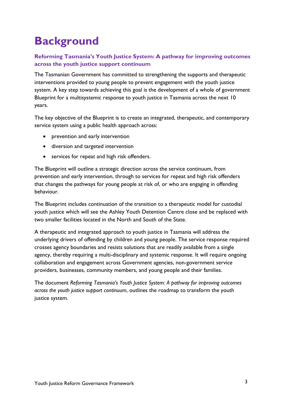# <span id="page-2-0"></span>**Background**

#### **Reforming Tasmania's Youth Justice System: A pathway for improving outcomes across the youth justice support continuum**

The Tasmanian Government has committed to strengthening the supports and therapeutic interventions provided to young people to prevent engagement with the youth justice system. A key step towards achieving this goal is the development of a whole of government Blueprint for a multisystemic response to youth justice in Tasmania across the next 10 years.

The key objective of the Blueprint is to create an integrated, therapeutic, and contemporary service system using a public health approach across:

- prevention and early intervention
- diversion and targeted intervention
- services for repeat and high risk offenders.

The Blueprint will outline a strategic direction across the service continuum, from prevention and early intervention, through to services for repeat and high risk offenders that changes the pathways for young people at risk of, or who are engaging in offending behaviour.

The Blueprint includes continuation of the transition to a therapeutic model for custodial youth justice which will see the Ashley Youth Detention Centre close and be replaced with two smaller facilities located in the North and South of the State.

A therapeutic and integrated approach to youth justice in Tasmania will address the underlying drivers of offending by children and young people. The service response required crosses agency boundaries and resists solutions that are readily available from a single agency, thereby requiring a multi-disciplinary and systemic response. It will require ongoing collaboration and engagement across Government agencies, non-government service providers, businesses, community members, and young people and their families.

The document *Reforming Tasmania's Youth Justice System: A pathway for improving outcomes across the youth justice support continuum*, outlines the roadmap to transform the youth justice system.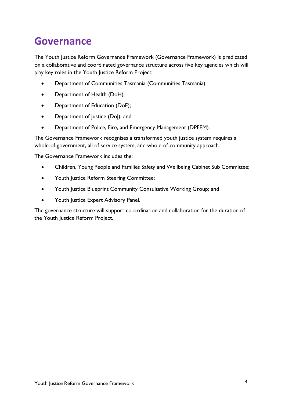# <span id="page-3-0"></span>**Governance**

The Youth Justice Reform Governance Framework (Governance Framework) is predicated on a collaborative and coordinated governance structure across five key agencies which will play key roles in the Youth Justice Reform Project:

- Department of Communities Tasmania (Communities Tasmania);
- Department of Health (DoH);
- Department of Education (DoE);
- Department of Justice (DoJ); and
- Department of Police, Fire, and Emergency Management (DPFEM).

The Governance Framework recognises a transformed youth justice system requires a whole-of-government, all of service system, and whole-of-community approach.

The Governance Framework includes the:

- Children, Young People and Families Safety and Wellbeing Cabinet Sub Committee;
- Youth Justice Reform Steering Committee;
- Youth Justice Blueprint Community Consultative Working Group; and
- Youth Justice Expert Advisory Panel.

The governance structure will support co-ordination and collaboration for the duration of the Youth Justice Reform Project.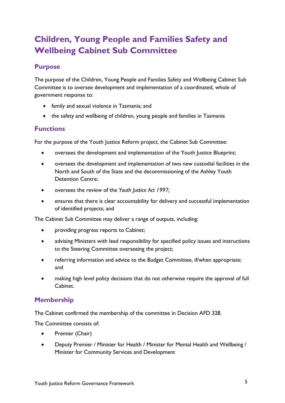# **Children, Young People and Families Safety and Wellbeing Cabinet Sub Committee**

## <span id="page-4-0"></span>**Purpose**

The purpose of the Children, Young People and Families Safety and Wellbeing Cabinet Sub Committee is to oversee development and implementation of a coordinated, whole of government response to:

- family and sexual violence in Tasmania; and
- the safety and wellbeing of children, young people and families in Tasmania

#### <span id="page-4-1"></span>**Functions**

For the purpose of the Youth Justice Reform project, the Cabinet Sub Committee:

- oversees the development and implementation of the Youth Justice Blueprint;
- oversees the development and implementation of two new custodial facilities in the North and South of the State and the decommissioning of the Ashley Youth Detention Centre;
- oversees the review of the *Youth Justice Act 1997;*
- ensures that there is clear accountability for delivery and successful implementation of identified projects; and

The Cabinet Sub Committee may deliver a range of outputs, including:

- providing progress reports to Cabinet;
- advising Ministers with lead responsibility for specified policy issues and instructions to the Steering Committee overseeing the project;
- referring information and advice to the Budget Committee, if/when appropriate; and
- making high level policy decisions that do not otherwise require the approval of full Cabinet.

## <span id="page-4-2"></span>**Membership**

The Cabinet confirmed the membership of the committee in Decision AFD 328.

The Committee consists of:

- Premier (Chair)
- Deputy Premier / Minister for Health / Minister for Mental Health and Wellbeing / Minister for Community Services and Development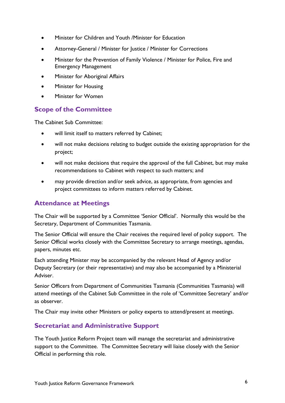- Minister for Children and Youth /Minister for Education
- Attorney-General / Minister for Justice / Minister for Corrections
- Minister for the Prevention of Family Violence / Minister for Police, Fire and Emergency Management
- Minister for Aboriginal Affairs
- Minister for Housing
- Minister for Women

#### <span id="page-5-0"></span>**Scope of the Committee**

The Cabinet Sub Committee:

- will limit itself to matters referred by Cabinet;
- will not make decisions relating to budget outside the existing appropriation for the project;
- will not make decisions that require the approval of the full Cabinet, but may make recommendations to Cabinet with respect to such matters; and
- may provide direction and/or seek advice, as appropriate, from agencies and project committees to inform matters referred by Cabinet.

## <span id="page-5-1"></span>**Attendance at Meetings**

The Chair will be supported by a Committee 'Senior Official'. Normally this would be the Secretary, Department of Communities Tasmania.

The Senior Official will ensure the Chair receives the required level of policy support. The Senior Official works closely with the Committee Secretary to arrange meetings, agendas, papers, minutes etc.

Each attending Minister may be accompanied by the relevant Head of Agency and/or Deputy Secretary (or their representative) and may also be accompanied by a Ministerial Adviser.

Senior Officers from Department of Communities Tasmania (Communities Tasmania) will attend meetings of the Cabinet Sub Committee in the role of 'Committee Secretary' and/or as observer.

The Chair may invite other Ministers or policy experts to attend/present at meetings.

#### <span id="page-5-2"></span>**Secretariat and Administrative Support**

The Youth Justice Reform Project team will manage the secretariat and administrative support to the Committee. The Committee Secretary will liaise closely with the Senior Official in performing this role.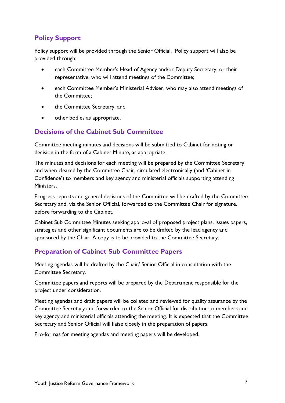# <span id="page-6-0"></span>**Policy Support**

Policy support will be provided through the Senior Official. Policy support will also be provided through:

- each Committee Member's Head of Agency and/or Deputy Secretary, or their representative, who will attend meetings of the Committee;
- each Committee Member's Ministerial Adviser, who may also attend meetings of the Committee;
- the Committee Secretary; and
- other bodies as appropriate.

## <span id="page-6-1"></span>**Decisions of the Cabinet Sub Committee**

Committee meeting minutes and decisions will be submitted to Cabinet for noting or decision in the form of a Cabinet Minute, as appropriate.

The minutes and decisions for each meeting will be prepared by the Committee Secretary and when cleared by the Committee Chair, circulated electronically (and 'Cabinet in Confidence') to members and key agency and ministerial officials supporting attending Ministers.

Progress reports and general decisions of the Committee will be drafted by the Committee Secretary and, via the Senior Official, forwarded to the Committee Chair for signature, before forwarding to the Cabinet.

Cabinet Sub Committee Minutes seeking approval of proposed project plans, issues papers, strategies and other significant documents are to be drafted by the lead agency and sponsored by the Chair. A copy is to be provided to the Committee Secretary.

## <span id="page-6-2"></span>**Preparation of Cabinet Sub Committee Papers**

Meeting agendas will be drafted by the Chair/ Senior Official in consultation with the Committee Secretary.

Committee papers and reports will be prepared by the Department responsible for the project under consideration.

Meeting agendas and draft papers will be collated and reviewed for quality assurance by the Committee Secretary and forwarded to the Senior Official for distribution to members and key agency and ministerial officials attending the meeting. It is expected that the Committee Secretary and Senior Official will liaise closely in the preparation of papers.

Pro-formas for meeting agendas and meeting papers will be developed.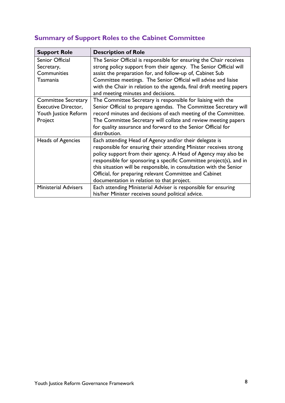| <b>Support Role</b>                                                                         | <b>Description of Role</b>                                                                                                                                                                                                                                                                                                                                                                                                                         |
|---------------------------------------------------------------------------------------------|----------------------------------------------------------------------------------------------------------------------------------------------------------------------------------------------------------------------------------------------------------------------------------------------------------------------------------------------------------------------------------------------------------------------------------------------------|
| Senior Official<br>Secretary,<br>Communities<br>Tasmania                                    | The Senior Official is responsible for ensuring the Chair receives<br>strong policy support from their agency. The Senior Official will<br>assist the preparation for, and follow-up of, Cabinet Sub<br>Committee meetings. The Senior Official will advise and liaise                                                                                                                                                                             |
|                                                                                             | with the Chair in relation to the agenda, final draft meeting papers<br>and meeting minutes and decisions.                                                                                                                                                                                                                                                                                                                                         |
| <b>Committee Secretary</b><br><b>Executive Director,</b><br>Youth Justice Reform<br>Project | The Committee Secretary is responsible for liaising with the<br>Senior Official to prepare agendas. The Committee Secretary will<br>record minutes and decisions of each meeting of the Committee.<br>The Committee Secretary will collate and review meeting papers<br>for quality assurance and forward to the Senior Official for<br>distribution.                                                                                              |
| Heads of Agencies                                                                           | Each attending Head of Agency and/or their delegate is<br>responsible for ensuring their attending Minister receives strong<br>policy support from their agency. A Head of Agency may also be<br>responsible for sponsoring a specific Committee project(s), and in<br>this situation will be responsible, in consultation with the Senior<br>Official, for preparing relevant Committee and Cabinet<br>documentation in relation to that project. |
| <b>Ministerial Advisers</b>                                                                 | Each attending Ministerial Adviser is responsible for ensuring<br>his/her Minister receives sound political advice.                                                                                                                                                                                                                                                                                                                                |

# <span id="page-7-0"></span>**Summary of Support Roles to the Cabinet Committee**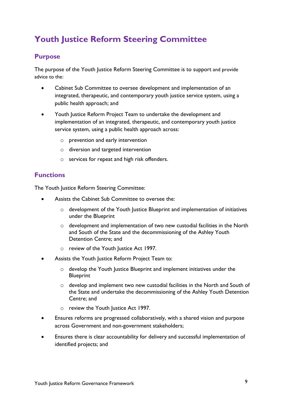# <span id="page-8-0"></span>**Youth Justice Reform Steering Committee**

#### <span id="page-8-1"></span>**Purpose**

The purpose of the Youth Justice Reform Steering Committee is to support and provide advice to the:

- Cabinet Sub Committee to oversee development and implementation of an integrated, therapeutic, and contemporary youth justice service system, using a public health approach; and
- Youth Justice Reform Project Team to undertake the development and implementation of an integrated, therapeutic, and contemporary youth justice service system, using a public health approach across:
	- o prevention and early intervention
	- o diversion and targeted intervention
	- o services for repeat and high risk offenders.

#### <span id="page-8-2"></span>**Functions**

The Youth Justice Reform Steering Committee:

- Assists the Cabinet Sub Committee to oversee the:
	- o development of the Youth Justice Blueprint and implementation of initiatives under the Blueprint
	- o development and implementation of two new custodial facilities in the North and South of the State and the decommissioning of the Ashley Youth Detention Centre; and
	- o review of the Youth Justice Act 1997.
- Assists the Youth Justice Reform Project Team to:
	- o develop the Youth Justice Blueprint and implement initiatives under the **Blueprint**
	- o develop and implement two new custodial facilities in the North and South of the State and undertake the decommissioning of the Ashley Youth Detention Centre; and
	- o review the Youth Justice Act 1997.
- Ensures reforms are progressed collaboratively, with a shared vision and purpose across Government and non-government stakeholders;
- Ensures there is clear accountability for delivery and successful implementation of identified projects; and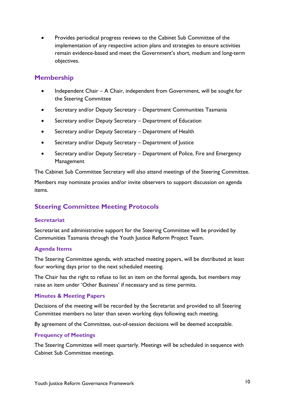• Provides periodical progress reviews to the Cabinet Sub Committee of the implementation of any respective action plans and strategies to ensure activities remain evidence-based and meet the Government's short, medium and long-term objectives.

## <span id="page-9-0"></span>**Membership**

- Independent Chair A Chair, independent from Government, will be sought for the Steering Committee
- Secretary and/or Deputy Secretary Department Communities Tasmania
- Secretary and/or Deputy Secretary Department of Education
- Secretary and/or Deputy Secretary Department of Health
- Secretary and/or Deputy Secretary Department of Justice
- Secretary and/or Deputy Secretary Department of Police, Fire and Emergency Management

The Cabinet Sub Committee Secretary will also attend meetings of the Steering Committee.

Members may nominate proxies and/or invite observers to support discussion on agenda items.

# <span id="page-9-1"></span>**Steering Committee Meeting Protocols**

#### **Secretariat**

Secretariat and administrative support for the Steering Committee will be provided by Communities Tasmania through the Youth Justice Reform Project Team.

#### **Agenda Items**

The Steering Committee agenda, with attached meeting papers, will be distributed at least four working days prior to the next scheduled meeting.

The Chair has the right to refuse to list an item on the formal agenda, but members may raise an item under 'Other Business' if necessary and as time permits.

#### **Minutes & Meeting Papers**

Decisions of the meeting will be recorded by the Secretariat and provided to all Steering Committee members no later than seven working days following each meeting.

By agreement of the Committee, out-of-session decisions will be deemed acceptable.

#### **Frequency of Meetings**

The Steering Committee will meet quarterly. Meetings will be scheduled in sequence with Cabinet Sub Committee meetings.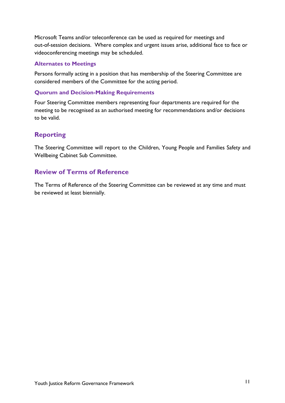Microsoft Teams and/or teleconference can be used as required for meetings and out-of-session decisions. Where complex and urgent issues arise, additional face to face or videoconferencing meetings may be scheduled.

#### **Alternates to Meetings**

Persons formally acting in a position that has membership of the Steering Committee are considered members of the Committee for the acting period.

#### **Quorum and Decision-Making Requirements**

Four Steering Committee members representing four departments are required for the meeting to be recognised as an authorised meeting for recommendations and/or decisions to be valid.

# <span id="page-10-0"></span>**Reporting**

The Steering Committee will report to the Children, Young People and Families Safety and Wellbeing Cabinet Sub Committee.

# <span id="page-10-1"></span>**Review of Terms of Reference**

The Terms of Reference of the Steering Committee can be reviewed at any time and must be reviewed at least biennially.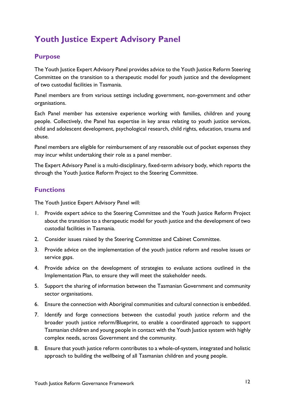# <span id="page-11-0"></span>**Youth Justice Expert Advisory Panel**

## <span id="page-11-1"></span>**Purpose**

The Youth Justice Expert Advisory Panel provides advice to the Youth Justice Reform Steering Committee on the transition to a therapeutic model for youth justice and the development of two custodial facilities in Tasmania.

Panel members are from various settings including government, non-government and other organisations.

Each Panel member has extensive experience working with families, children and young people. Collectively, the Panel has expertise in key areas relating to youth justice services, child and adolescent development, psychological research, child rights, education, trauma and abuse.

Panel members are eligible for reimbursement of any reasonable out of pocket expenses they may incur whilst undertaking their role as a panel member.

The Expert Advisory Panel is a multi-disciplinary, fixed-term advisory body, which reports the through the Youth Justice Reform Project to the Steering Committee.

## <span id="page-11-2"></span>**Functions**

The Youth Justice Expert Advisory Panel will:

- 1. Provide expert advice to the Steering Committee and the Youth Justice Reform Project about the transition to a therapeutic model for youth justice and the development of two custodial facilities in Tasmania.
- 2. Consider issues raised by the Steering Committee and Cabinet Committee.
- 3. Provide advice on the implementation of the youth justice reform and resolve issues or service gaps.
- 4. Provide advice on the development of strategies to evaluate actions outlined in the Implementation Plan, to ensure they will meet the stakeholder needs.
- 5. Support the sharing of information between the Tasmanian Government and community sector organisations.
- 6. Ensure the connection with Aboriginal communities and cultural connection is embedded.
- 7. Identify and forge connections between the custodial youth justice reform and the broader youth justice reform/Blueprint, to enable a coordinated approach to support Tasmanian children and young people in contact with the Youth Justice system with highly complex needs, across Government and the community.
- 8. Ensure that youth justice reform contributes to a whole-of-system, integrated and holistic approach to building the wellbeing of all Tasmanian children and young people.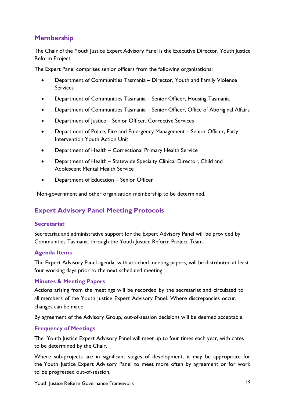# <span id="page-12-0"></span>**Membership**

The Chair of the Youth Justice Expert Advisory Panel is the Executive Director, Youth Justice Reform Project.

The Expert Panel comprises senior officers from the following organisations:

- Department of Communities Tasmania Director, Youth and Family Violence Services
- Department of Communities Tasmania Senior Officer, Housing Tasmania
- Department of Communities Tasmania Senior Officer, Office of Aboriginal Affairs
- Department of Justice Senior Officer, Corrective Services
- Department of Police, Fire and Emergency Management Senior Officer, Early Intervention Youth Action Unit
- Department of Health Correctional Primary Health Service
- Department of Health Statewide Specialty Clinical Director, Child and Adolescent Mental Health Service
- Department of Education Senior Officer

<span id="page-12-1"></span>Non-government and other organisation membership to be determined.

# **Expert Advisory Panel Meeting Protocols**

#### **Secretariat**

Secretariat and administrative support for the Expert Advisory Panel will be provided by Communities Tasmania through the Youth Justice Reform Project Team.

#### **Agenda Items**

The Expert Advisory Panel agenda, with attached meeting papers, will be distributed at least four working days prior to the next scheduled meeting.

#### **Minutes & Meeting Papers**

Actions arising from the meetings will be recorded by the secretariat and circulated to all members of the Youth Justice Expert Advisory Panel. Where discrepancies occur, changes can be made.

By agreement of the Advisory Group, out-of-session decisions will be deemed acceptable.

#### **Frequency of Meetings**

The Youth Justice Expert Advisory Panel will meet up to four times each year, with dates to be determined by the Chair.

Where sub-projects are in significant stages of development, it may be appropriate for the Youth Justice Expert Advisory Panel to meet more often by agreement or for work to be progressed out-of-session.

Youth Justice Reform Governance Framework 13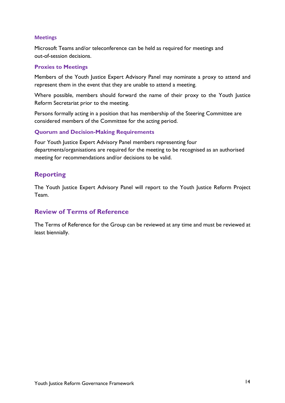#### **Meetings**

Microsoft Teams and/or teleconference can be held as required for meetings and out-of-session decisions.

#### **Proxies to Meetings**

Members of the Youth Justice Expert Advisory Panel may nominate a proxy to attend and represent them in the event that they are unable to attend a meeting.

Where possible, members should forward the name of their proxy to the Youth Justice Reform Secretariat prior to the meeting.

Persons formally acting in a position that has membership of the Steering Committee are considered members of the Committee for the acting period.

#### **Quorum and Decision-Making Requirements**

Four Youth Justice Expert Advisory Panel members representing four departments/organisations are required for the meeting to be recognised as an authorised meeting for recommendations and/or decisions to be valid.

#### <span id="page-13-0"></span>**Reporting**

The Youth Justice Expert Advisory Panel will report to the Youth Justice Reform Project Team.

#### <span id="page-13-1"></span>**Review of Terms of Reference**

The Terms of Reference for the Group can be reviewed at any time and must be reviewed at least biennially.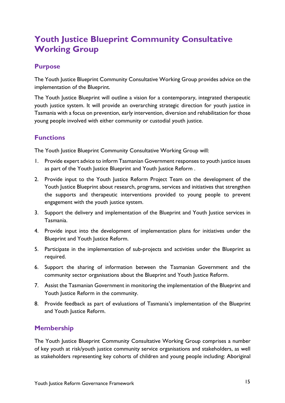# <span id="page-14-0"></span>**Youth Justice Blueprint Community Consultative Working Group**

#### <span id="page-14-1"></span>**Purpose**

The Youth Justice Blueprint Community Consultative Working Group provides advice on the implementation of the Blueprint.

The Youth Justice Blueprint will outline a vision for a contemporary, integrated therapeutic youth justice system. It will provide an overarching strategic direction for youth justice in Tasmania with a focus on prevention, early intervention, diversion and rehabilitation for those young people involved with either community or custodial youth justice.

# <span id="page-14-2"></span>**Functions**

The Youth Justice Blueprint Community Consultative Working Group will:

- 1. Provide expert advice to inform Tasmanian Government responses to youth justice issues as part of the Youth Justice Blueprint and Youth Justice Reform.
- 2. Provide input to the Youth Justice Reform Project Team on the development of the Youth Justice Blueprint about research, programs, services and initiatives that strengthen the supports and therapeutic interventions provided to young people to prevent engagement with the youth justice system.
- 3. Support the delivery and implementation of the Blueprint and Youth Justice services in Tasmania.
- 4. Provide input into the development of implementation plans for initiatives under the Blueprint and Youth Justice Reform.
- 5. Participate in the implementation of sub-projects and activities under the Blueprint as required.
- 6. Support the sharing of information between the Tasmanian Government and the community sector organisations about the Blueprint and Youth Justice Reform.
- 7. Assist the Tasmanian Government in monitoring the implementation of the Blueprint and Youth Justice Reform in the community.
- 8. Provide feedback as part of evaluations of Tasmania's implementation of the Blueprint and Youth Justice Reform.

# <span id="page-14-3"></span>**Membership**

The Youth Justice Blueprint Community Consultative Working Group comprises a number of key youth at risk/youth justice community service organisations and stakeholders, as well as stakeholders representing key cohorts of children and young people including: Aboriginal